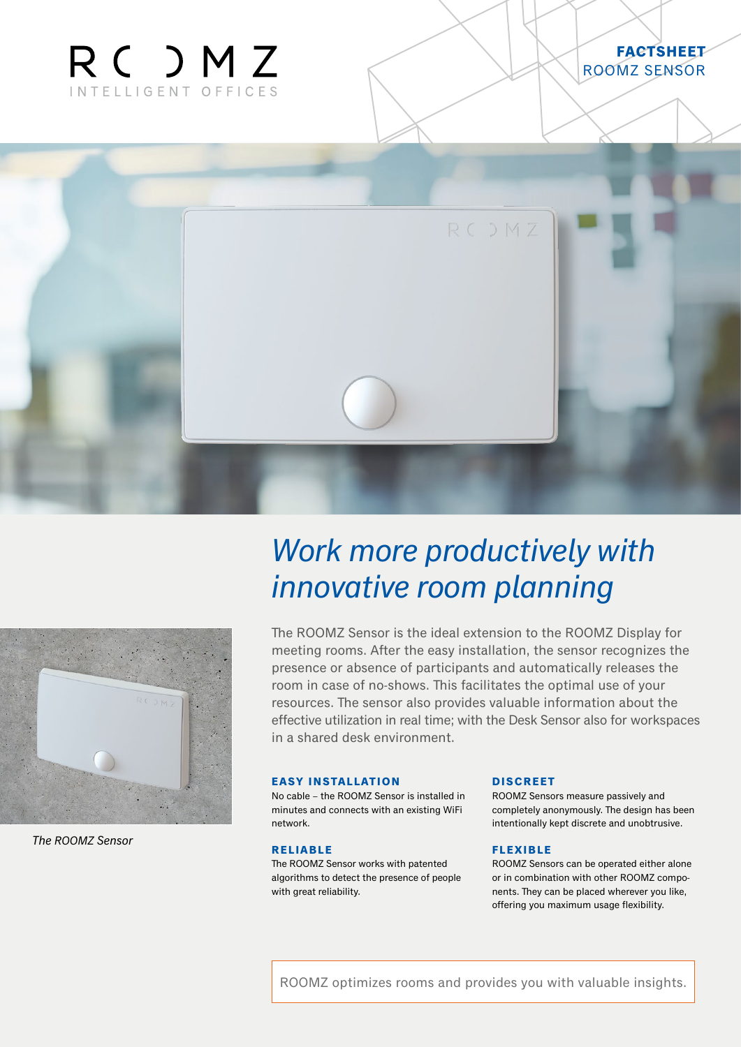



# *Work more productively with innovative room planning*



### **EASY INSTALLATION**

No cable – the ROOMZ Sensor is installed in minutes and connects with an existing WiFi network.

## **RELIABLE**

The ROOMZ Sensor works with patented algorithms to detect the presence of people with great reliability.

#### **D I S C R E E T**

ROOMZ Sensors measure passively and completely anonymously. The design has been intentionally kept discrete and unobtrusive.

**FACTSHEET**

ROOMZ SENSOR

## **FLEXIBLE**

ROOMZ Sensors can be operated either alone or in combination with other ROOMZ components. They can be placed wherever you like, offering you maximum usage flexibility.

ROOMZ optimizes rooms and provides you with valuable insights.



*The ROOMZ Sensor*